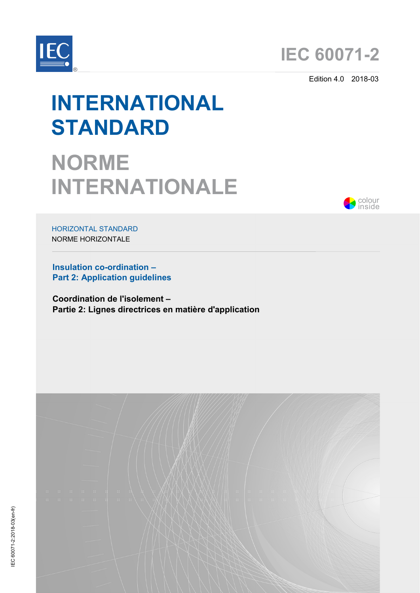

Edition 4.0 2018-03

# **INTERNATIONAL STANDARD**

# **NORME INTERNATIONALE**



HORIZONTAL STANDARD NORME HORIZONTALE

**Insulation co-ordination – Part 2: Application guidelines**

**Coordination de l'isolement – Partie 2: Lignes directrices en matière d'application**

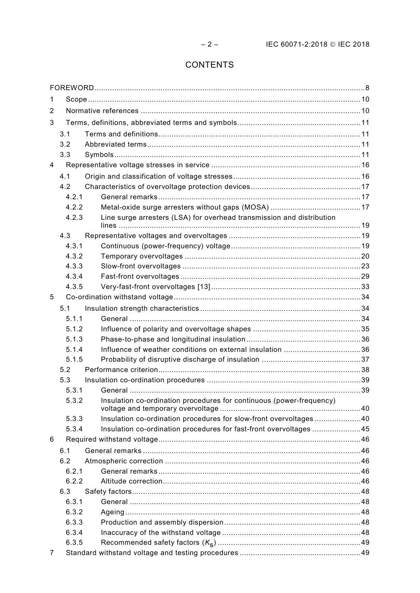# **CONTENTS**

| 1 |       |                                                                       |  |
|---|-------|-----------------------------------------------------------------------|--|
| 2 |       |                                                                       |  |
| 3 |       |                                                                       |  |
|   | 3.1   |                                                                       |  |
|   | 3.2   |                                                                       |  |
|   | 3.3   |                                                                       |  |
| 4 |       |                                                                       |  |
|   | 4.1   |                                                                       |  |
|   | 4.2   |                                                                       |  |
|   | 4.2.1 |                                                                       |  |
|   | 4.2.2 |                                                                       |  |
|   | 4.2.3 | Line surge arresters (LSA) for overhead transmission and distribution |  |
|   | 4.3   |                                                                       |  |
|   | 4.3.1 |                                                                       |  |
|   | 4.3.2 |                                                                       |  |
|   | 4.3.3 |                                                                       |  |
|   | 4.3.4 |                                                                       |  |
|   | 4.3.5 |                                                                       |  |
| 5 |       |                                                                       |  |
|   | 5.1   |                                                                       |  |
|   | 5.1.1 |                                                                       |  |
|   | 5.1.2 |                                                                       |  |
|   | 5.1.3 |                                                                       |  |
|   | 5.1.4 |                                                                       |  |
|   | 5.1.5 |                                                                       |  |
|   | 5.2   |                                                                       |  |
|   | 5.3   |                                                                       |  |
|   | 5.3.1 |                                                                       |  |
|   | 5.3.2 | Insulation co-ordination procedures for continuous (power-frequency)  |  |
|   | 5.3.3 | Insulation co-ordination procedures for slow-front overvoltages40     |  |
|   | 5.3.4 | Insulation co-ordination procedures for fast-front overvoltages 45    |  |
| 6 |       |                                                                       |  |
|   | 6.1   |                                                                       |  |
|   | 6.2   |                                                                       |  |
|   | 6.2.1 |                                                                       |  |
|   | 6.2.2 |                                                                       |  |
|   | 6.3   |                                                                       |  |
|   | 6.3.1 |                                                                       |  |
|   | 6.3.2 |                                                                       |  |
|   | 6.3.3 |                                                                       |  |
|   | 6.3.4 |                                                                       |  |
|   | 6.3.5 |                                                                       |  |
| 7 |       |                                                                       |  |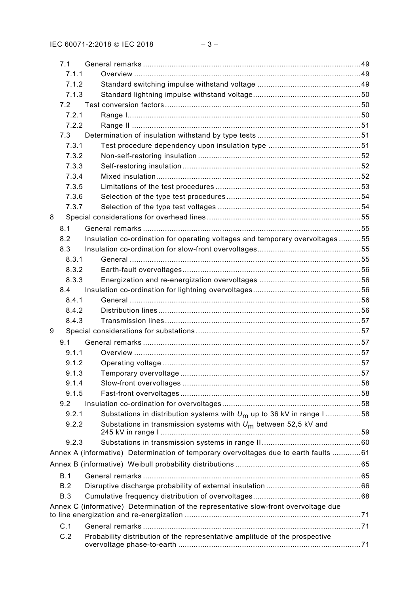|   | 7.1        |                                                                                      |  |
|---|------------|--------------------------------------------------------------------------------------|--|
|   | 7.1.1      |                                                                                      |  |
|   | 7.1.2      |                                                                                      |  |
|   | 7.1.3      |                                                                                      |  |
|   | 7.2        |                                                                                      |  |
|   | 7.2.1      |                                                                                      |  |
|   | 7.2.2      |                                                                                      |  |
|   | 7.3        |                                                                                      |  |
|   | 7.3.1      |                                                                                      |  |
|   | 7.3.2      |                                                                                      |  |
|   | 7.3.3      |                                                                                      |  |
|   | 7.3.4      |                                                                                      |  |
|   | 7.3.5      |                                                                                      |  |
|   | 7.3.6      |                                                                                      |  |
|   | 7.3.7      |                                                                                      |  |
| 8 |            |                                                                                      |  |
|   | 8.1        |                                                                                      |  |
|   | 8.2        | Insulation co-ordination for operating voltages and temporary overvoltages 55        |  |
|   | 8.3        |                                                                                      |  |
|   | 8.3.1      |                                                                                      |  |
|   | 8.3.2      |                                                                                      |  |
|   | 8.3.3      |                                                                                      |  |
|   | 8.4        |                                                                                      |  |
|   | 8.4.1      |                                                                                      |  |
|   | 8.4.2      | Distribution lines………………………………………………………………………………………56                                |  |
|   | 8.4.3      |                                                                                      |  |
| 9 |            |                                                                                      |  |
|   | 9.1        |                                                                                      |  |
|   | 9.1.1      |                                                                                      |  |
|   | 9.1.2      |                                                                                      |  |
|   | 9.1.3      |                                                                                      |  |
|   | 9.1.4      |                                                                                      |  |
|   | 9.1.5      |                                                                                      |  |
|   | 9.2        |                                                                                      |  |
|   | 9.2.1      | Substations in distribution systems with $U_m$ up to 36 kV in range $1$ 58           |  |
|   | 9.2.2      | Substations in transmission systems with $U_m$ between 52,5 kV and                   |  |
|   |            |                                                                                      |  |
|   | 9.2.3      | Annex A (informative) Determination of temporary overvoltages due to earth faults 61 |  |
|   |            |                                                                                      |  |
|   |            |                                                                                      |  |
|   | B.1        |                                                                                      |  |
|   | B.2        |                                                                                      |  |
|   | <b>B.3</b> |                                                                                      |  |
|   |            | Annex C (informative) Determination of the representative slow-front overvoltage due |  |
|   |            |                                                                                      |  |
|   | C.1<br>C.2 |                                                                                      |  |
|   |            | Probability distribution of the representative amplitude of the prospective          |  |
|   |            |                                                                                      |  |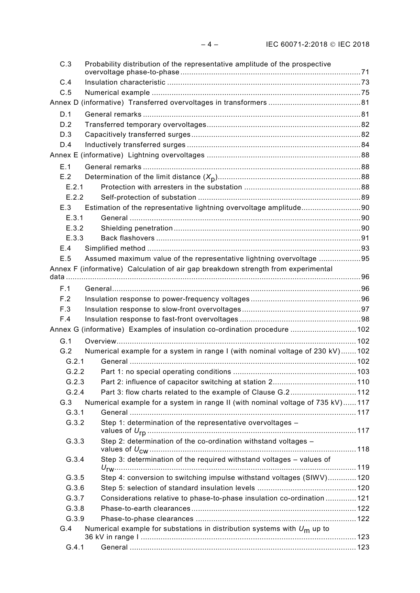| C.3        | Probability distribution of the representative amplitude of the prospective       |  |
|------------|-----------------------------------------------------------------------------------|--|
| C.4        |                                                                                   |  |
| C.5        |                                                                                   |  |
| Annex D    |                                                                                   |  |
| D.1        |                                                                                   |  |
| D.2        |                                                                                   |  |
|            |                                                                                   |  |
| D.3<br>D.4 |                                                                                   |  |
|            |                                                                                   |  |
|            |                                                                                   |  |
| E.1        |                                                                                   |  |
| E.2        |                                                                                   |  |
| E.2.1      |                                                                                   |  |
| E.2.2      |                                                                                   |  |
| E.3        | Estimation of the representative lightning overvoltage amplitude90                |  |
| E.3.1      |                                                                                   |  |
| E.3.2      |                                                                                   |  |
| E.3.3      |                                                                                   |  |
| E.4        |                                                                                   |  |
| E.5        | Assumed maximum value of the representative lightning overvoltage 95              |  |
|            | Annex F (informative) Calculation of air gap breakdown strength from experimental |  |
|            |                                                                                   |  |
| F.1        |                                                                                   |  |
| F.2        |                                                                                   |  |
| F.3        |                                                                                   |  |
| F.4        |                                                                                   |  |
|            | Annex G (informative) Examples of insulation co-ordination procedure  102         |  |
| G.1        |                                                                                   |  |
| G.2        | Numerical example for a system in range I (with nominal voltage of 230 kV)102     |  |
| G.2.1      |                                                                                   |  |
| G.2.2      |                                                                                   |  |
| G.2.3      |                                                                                   |  |
| G.2.4      | Part 3: flow charts related to the example of Clause G.2 112                      |  |
| G.3        | Numerical example for a system in range II (with nominal voltage of 735 kV)117    |  |
| G.3.1      |                                                                                   |  |
| G.3.2      | Step 1: determination of the representative overvoltages -                        |  |
|            |                                                                                   |  |
| G.3.3      | Step 2: determination of the co-ordination withstand voltages -                   |  |
|            |                                                                                   |  |
| G.3.4      | Step 3: determination of the required withstand voltages - values of              |  |
| G.3.5      | Step 4: conversion to switching impulse withstand voltages (SIWV)120              |  |
| G.3.6      |                                                                                   |  |
| G.3.7      | Considerations relative to phase-to-phase insulation co-ordination121             |  |
| G.3.8      |                                                                                   |  |
| G.3.9      |                                                                                   |  |
| G.4        |                                                                                   |  |
|            | Numerical example for substations in distribution systems with $U_m$ up to        |  |
| G.4.1      |                                                                                   |  |
|            |                                                                                   |  |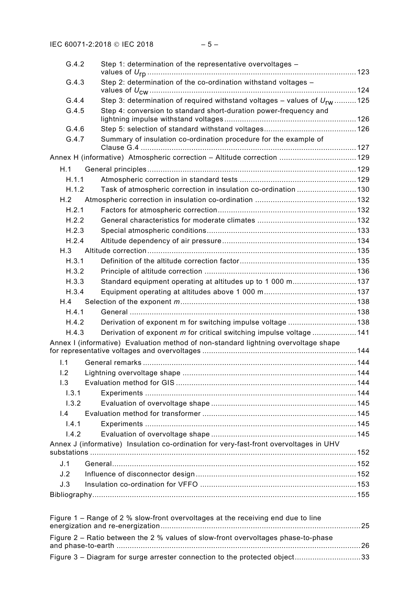| G.4.2           | Step 1: determination of the representative overvoltages -                                                                                                              |  |
|-----------------|-------------------------------------------------------------------------------------------------------------------------------------------------------------------------|--|
| G.4.3           | Step 2: determination of the co-ordination withstand voltages -                                                                                                         |  |
| G.4.4           | Step 3: determination of required withstand voltages – values of $U_{rw}$ 125                                                                                           |  |
| G.4.5           | Step 4: conversion to standard short-duration power-frequency and                                                                                                       |  |
| G.4.6           |                                                                                                                                                                         |  |
| G.4.7           | Summary of insulation co-ordination procedure for the example of                                                                                                        |  |
|                 | Annex H (informative) Atmospheric correction - Altitude correction  129                                                                                                 |  |
| H.1             |                                                                                                                                                                         |  |
| H.1.1           |                                                                                                                                                                         |  |
| H.1.2           | Task of atmospheric correction in insulation co-ordination  130                                                                                                         |  |
| H.2             |                                                                                                                                                                         |  |
| H.2.1           |                                                                                                                                                                         |  |
| H.2.2           |                                                                                                                                                                         |  |
| H.2.3           |                                                                                                                                                                         |  |
| H.2.4           |                                                                                                                                                                         |  |
| H.3             |                                                                                                                                                                         |  |
| H.3.1           |                                                                                                                                                                         |  |
| H.3.2           |                                                                                                                                                                         |  |
| H.3.3           | Standard equipment operating at altitudes up to 1 000 m 137                                                                                                             |  |
| H.3.4           |                                                                                                                                                                         |  |
| H.4             |                                                                                                                                                                         |  |
| H.4.1           |                                                                                                                                                                         |  |
| H.4.2           | Derivation of exponent m for switching impulse voltage  138                                                                                                             |  |
| H.4.3           | Derivation of exponent m for critical switching impulse voltage  141                                                                                                    |  |
|                 | Annex I (informative) Evaluation method of non-standard lightning overvoltage shape<br>for representative voltages and overvoltages …………………………………………………………………………………………… |  |
| 1.1             |                                                                                                                                                                         |  |
| 1.2             |                                                                                                                                                                         |  |
| 1.3             |                                                                                                                                                                         |  |
| 1.3.1           |                                                                                                                                                                         |  |
| 1.3.2           |                                                                                                                                                                         |  |
| $\mathsf{I}$ .4 |                                                                                                                                                                         |  |
| 1.4.1           |                                                                                                                                                                         |  |
| 1.4.2           |                                                                                                                                                                         |  |
|                 | Annex J (informative) Insulation co-ordination for very-fast-front overvoltages in UHV                                                                                  |  |
| J.1             |                                                                                                                                                                         |  |
| J.2             |                                                                                                                                                                         |  |
| J.3             |                                                                                                                                                                         |  |
|                 |                                                                                                                                                                         |  |
|                 |                                                                                                                                                                         |  |

| Figure 1 – Range of 2 % slow-front overvoltages at the receiving end due to line  |  |
|-----------------------------------------------------------------------------------|--|
| Figure 2 – Ratio between the 2 % values of slow-front overvoltages phase-to-phase |  |
| Figure 3 – Diagram for surge arrester connection to the protected object33        |  |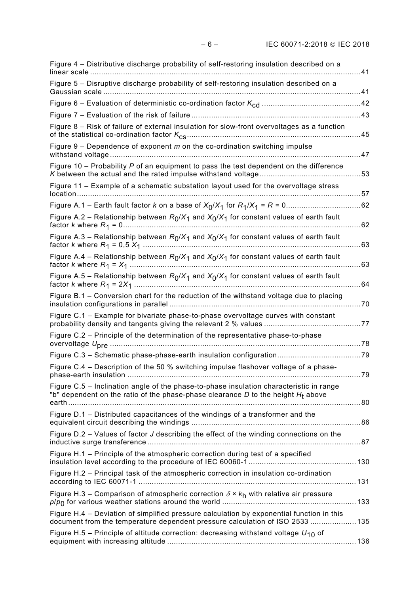| Figure 4 - Distributive discharge probability of self-restoring insulation described on a<br>linear scale                                                                       | 41  |
|---------------------------------------------------------------------------------------------------------------------------------------------------------------------------------|-----|
| Figure 5 - Disruptive discharge probability of self-restoring insulation described on a                                                                                         |     |
|                                                                                                                                                                                 |     |
|                                                                                                                                                                                 |     |
| Figure 8 - Risk of failure of external insulation for slow-front overvoltages as a function                                                                                     | 45  |
| Figure $9$ – Dependence of exponent $m$ on the co-ordination switching impulse                                                                                                  | 47  |
| Figure 10 – Probability $P$ of an equipment to pass the test dependent on the difference                                                                                        | 53  |
| Figure 11 - Example of a schematic substation layout used for the overvoltage stress                                                                                            | 57  |
|                                                                                                                                                                                 |     |
| Figure A.2 – Relationship between $R_0/X_1$ and $X_0/X_1$ for constant values of earth fault                                                                                    | 62  |
| Figure A.3 – Relationship between $R_0/X_1$ and $X_0/X_1$ for constant values of earth fault                                                                                    | 63  |
| Figure A.4 – Relationship between $R_0/X_1$ and $X_0/X_1$ for constant values of earth fault                                                                                    | 63  |
| Figure A.5 – Relationship between $R_0/X_1$ and $X_0/X_1$ for constant values of earth fault                                                                                    | 64  |
| Figure B.1 - Conversion chart for the reduction of the withstand voltage due to placing                                                                                         | .70 |
| Figure C.1 – Example for bivariate phase-to-phase overvoltage curves with constant<br>probability density and tangents giving the relevant 2 % values                           | .77 |
| Figure C.2 - Principle of the determination of the representative phase-to-phase<br>overvoltage <i>U<sub>DTe</sub> …………………………………………………………………………………</i> ……………                    | .78 |
|                                                                                                                                                                                 |     |
| Figure C.4 – Description of the 50 % switching impulse flashover voltage of a phase-                                                                                            |     |
| Figure C.5 - Inclination angle of the phase-to-phase insulation characteristic in range<br>"b" dependent on the ratio of the phase-phase clearance $D$ to the height $Hf$ above |     |
| Figure D.1 – Distributed capacitances of the windings of a transformer and the                                                                                                  |     |
| Figure D.2 - Values of factor $J$ describing the effect of the winding connections on the                                                                                       |     |
| Figure H.1 - Principle of the atmospheric correction during test of a specified                                                                                                 |     |
| Figure H.2 - Principal task of the atmospheric correction in insulation co-ordination                                                                                           |     |
| Figure H.3 – Comparison of atmospheric correction $\delta \times k_h$ with relative air pressure                                                                                |     |
| Figure H.4 - Deviation of simplified pressure calculation by exponential function in this<br>document from the temperature dependent pressure calculation of ISO 2533  135      |     |
| Figure H.5 – Principle of altitude correction: decreasing withstand voltage $U_{10}$ of                                                                                         |     |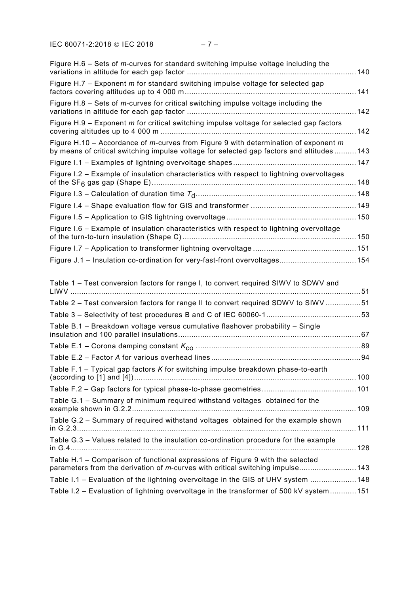| Figure H.6 - Sets of <i>m</i> -curves for standard switching impulse voltage including the                                                                                       |  |
|----------------------------------------------------------------------------------------------------------------------------------------------------------------------------------|--|
| Figure H.7 - Exponent m for standard switching impulse voltage for selected gap                                                                                                  |  |
| Figure H.8 - Sets of m-curves for critical switching impulse voltage including the                                                                                               |  |
| Figure H.9 - Exponent m for critical switching impulse voltage for selected gap factors                                                                                          |  |
| Figure H.10 - Accordance of m-curves from Figure 9 with determination of exponent m<br>by means of critical switching impulse voltage for selected gap factors and altitudes 143 |  |
|                                                                                                                                                                                  |  |
| Figure I.2 - Example of insulation characteristics with respect to lightning overvoltages                                                                                        |  |
|                                                                                                                                                                                  |  |
|                                                                                                                                                                                  |  |
|                                                                                                                                                                                  |  |
| Figure I.6 - Example of insulation characteristics with respect to lightning overvoltage                                                                                         |  |
|                                                                                                                                                                                  |  |
| Figure J.1 - Insulation co-ordination for very-fast-front overvoltages 154                                                                                                       |  |
|                                                                                                                                                                                  |  |
| Table 1 - Test conversion factors for range I, to convert required SIWV to SDWV and                                                                                              |  |
| Table 2 - Test conversion factors for range II to convert required SDWV to SIWV 51                                                                                               |  |
|                                                                                                                                                                                  |  |
| Table B.1 - Breakdown voltage versus cumulative flashover probability - Single                                                                                                   |  |
|                                                                                                                                                                                  |  |
|                                                                                                                                                                                  |  |
| Table F.1 - Typical gap factors K for switching impulse breakdown phase-to-earth                                                                                                 |  |
|                                                                                                                                                                                  |  |
| Table G.1 - Summary of minimum required withstand voltages obtained for the                                                                                                      |  |
| Table G.2 - Summary of required withstand voltages obtained for the example shown                                                                                                |  |
| Table G.3 - Values related to the insulation co-ordination procedure for the example                                                                                             |  |
| Table H.1 - Comparison of functional expressions of Figure 9 with the selected<br>parameters from the derivation of m-curves with critical switching impulse143                  |  |
| Table I.1 - Evaluation of the lightning overvoltage in the GIS of UHV system 148                                                                                                 |  |
| Table I.2 - Evaluation of lightning overvoltage in the transformer of 500 kV system151                                                                                           |  |
|                                                                                                                                                                                  |  |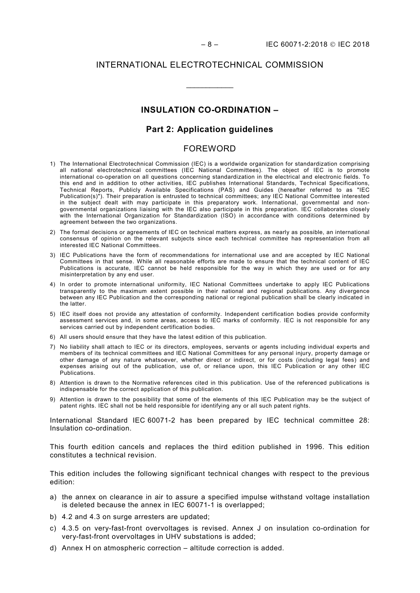## INTERNATIONAL ELECTROTECHNICAL COMMISSION

\_\_\_\_\_\_\_\_\_\_\_\_

## **INSULATION CO-ORDINATION –**

#### **Part 2: Application guidelines**

#### FOREWORD

- <span id="page-7-0"></span>1) The International Electrotechnical Commission (IEC) is a worldwide organization for standardization comprising all national electrotechnical committees (IEC National Committees). The object of IEC is to promote international co-operation on all questions concerning standardization in the electrical and electronic fields. To this end and in addition to other activities, IEC publishes International Standards, Technical Specifications, Technical Reports, Publicly Available Specifications (PAS) and Guides (hereafter referred to as "IEC Publication(s)"). Their preparation is entrusted to technical committees; any IEC National Committee interested in the subject dealt with may participate in this preparatory work. International, governmental and nongovernmental organizations liaising with the IEC also participate in this preparation. IEC collaborates closely with the International Organization for Standardization (ISO) in accordance with conditions determined by agreement between the two organizations.
- 2) The formal decisions or agreements of IEC on technical matters express, as nearly as possible, an international consensus of opinion on the relevant subjects since each technical committee has representation from all interested IEC National Committees.
- 3) IEC Publications have the form of recommendations for international use and are accepted by IEC National Committees in that sense. While all reasonable efforts are made to ensure that the technical content of IEC Publications is accurate, IEC cannot be held responsible for the way in which they are used or for any misinterpretation by any end user.
- 4) In order to promote international uniformity, IEC National Committees undertake to apply IEC Publications transparently to the maximum extent possible in their national and regional publications. Any divergence between any IEC Publication and the corresponding national or regional publication shall be clearly indicated in the latter.
- 5) IEC itself does not provide any attestation of conformity. Independent certification bodies provide conformity assessment services and, in some areas, access to IEC marks of conformity. IEC is not responsible for any services carried out by independent certification bodies.
- 6) All users should ensure that they have the latest edition of this publication.
- 7) No liability shall attach to IEC or its directors, employees, servants or agents including individual experts and members of its technical committees and IEC National Committees for any personal injury, property damage or other damage of any nature whatsoever, whether direct or indirect, or for costs (including legal fees) and expenses arising out of the publication, use of, or reliance upon, this IEC Publication or any other IEC Publications.
- 8) Attention is drawn to the Normative references cited in this publication. Use of the referenced publications is indispensable for the correct application of this publication.
- 9) Attention is drawn to the possibility that some of the elements of this IEC Publication may be the subject of patent rights. IEC shall not be held responsible for identifying any or all such patent rights.

International Standard IEC 60071-2 has been prepared by IEC technical committee 28: Insulation co-ordination.

This fourth edition cancels and replaces the third edition published in 1996. This edition constitutes a technical revision.

This edition includes the following significant technical changes with respect to the previous edition:

- a) the annex on clearance in air to assure a specified impulse withstand voltage installation is deleted because the annex in IEC 60071-1 is overlapped;
- b) 4.2 and 4.3 on surge arresters are updated;
- c) 4.3.5 on very-fast-front overvoltages is revised. Annex J on insulation co-ordination for very-fast-front overvoltages in UHV substations is added;
- d) Annex H on atmospheric correction altitude correction is added.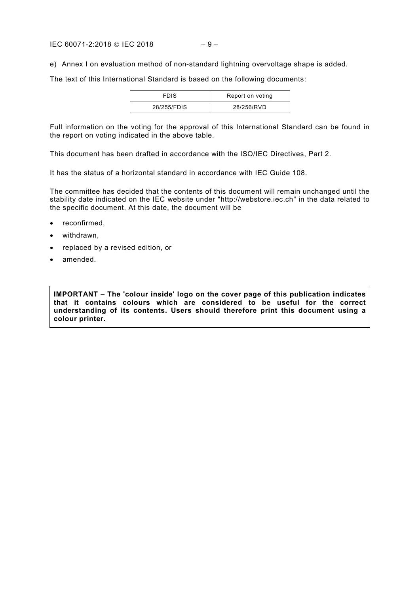e) Annex I on evaluation method of non-standard lightning overvoltage shape is added.

The text of this International Standard is based on the following documents:

| <b>FDIS</b> | Report on voting |
|-------------|------------------|
| 28/255/FDIS | 28/256/RVD       |

Full information on the voting for the approval of this International Standard can be found in the report on voting indicated in the above table.

This document has been drafted in accordance with the ISO/IEC Directives, Part 2.

It has the status of a horizontal standard in accordance with IEC Guide 108.

The committee has decided that the contents of this document will remain unchanged until the stability date indicated on the IEC website under "http://webstore.iec.ch" in the data related to the specific document. At this date, the document will be

- reconfirmed,
- withdrawn,
- replaced by a revised edition, or
- amended.

**IMPORTANT – The 'colour inside' logo on the cover page of this publication indicates that it contains colours which are considered to be useful for the correct understanding of its contents. Users should therefore print this document using a colour printer.**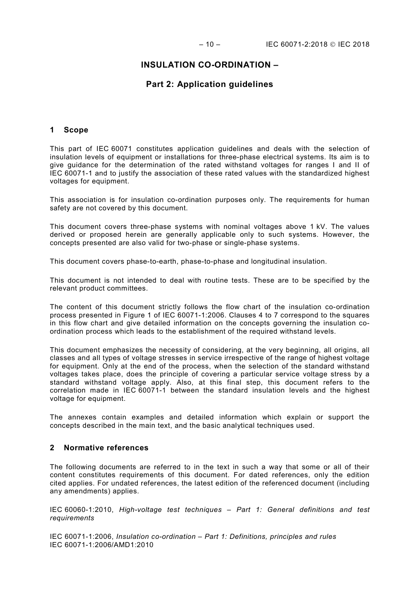# **INSULATION CO-ORDINATION –**

# **Part 2: Application guidelines**

#### <span id="page-9-0"></span>**1 Scope**

This part of IEC 60071 constitutes application guidelines and deals with the selection of insulation levels of equipment or installations for three-phase electrical systems. Its aim is to give guidance for the determination of the rated withstand voltages for ranges I and II of IEC 60071-1 and to justify the association of these rated values with the standardized highest voltages for equipment.

This association is for insulation co-ordination purposes only. The requirements for human safety are not covered by this document.

This document covers three-phase systems with nominal voltages above 1 kV. The values derived or proposed herein are generally applicable only to such systems. However, the concepts presented are also valid for two-phase or single-phase systems.

This document covers phase-to-earth, phase-to-phase and longitudinal insulation.

This document is not intended to deal with routine tests. These are to be specified by the relevant product committees.

The content of this document strictly follows the flow chart of the insulation co-ordination process presented in Figure 1 of IEC 60071-1:2006. Clauses 4 to 7 correspond to the squares in this flow chart and give detailed information on the concepts governing the insulation coordination process which leads to the establishment of the required withstand levels.

This document emphasizes the necessity of considering, at the very beginning, all origins, all classes and all types of voltage stresses in service irrespective of the range of highest voltage for equipment. Only at the end of the process, when the selection of the standard withstand voltages takes place, does the principle of covering a particular service voltage stress by a standard withstand voltage apply. Also, at this final step, this document refers to the correlation made in IEC 60071-1 between the standard insulation levels and the highest voltage for equipment.

The annexes contain examples and detailed information which explain or support the concepts described in the main text, and the basic analytical techniques used.

#### <span id="page-9-1"></span>**2 Normative references**

The following documents are referred to in the text in such a way that some or all of their content constitutes requirements of this document. For dated references, only the edition cited applies. For undated references, the latest edition of the referenced document (including any amendments) applies.

IEC 60060-1:2010, *High-voltage test techniques – Part 1: General definitions and test requirements*

IEC 60071-1:2006, *Insulation co-ordination – Part 1: Definitions, principles and rules*  IEC 60071-1:2006/AMD1:2010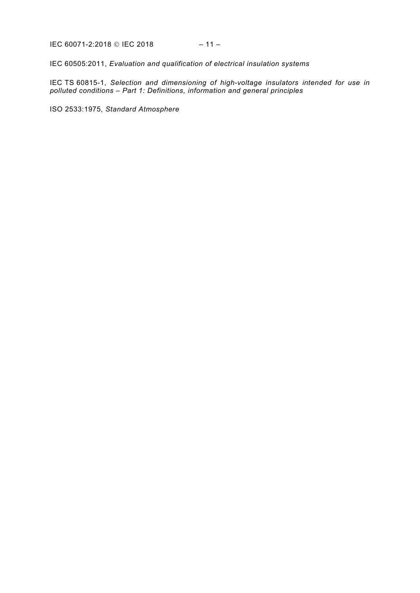IEC 60505:2011, *Evaluation and qualification of electrical insulation systems*

IEC TS 60815-1, *Selection and dimensioning of high-voltage insulators intended for use in polluted conditions – Part 1: Definitions, information and general principles*

<span id="page-10-3"></span><span id="page-10-2"></span><span id="page-10-1"></span><span id="page-10-0"></span>ISO 2533:1975, *Standard Atmosphere*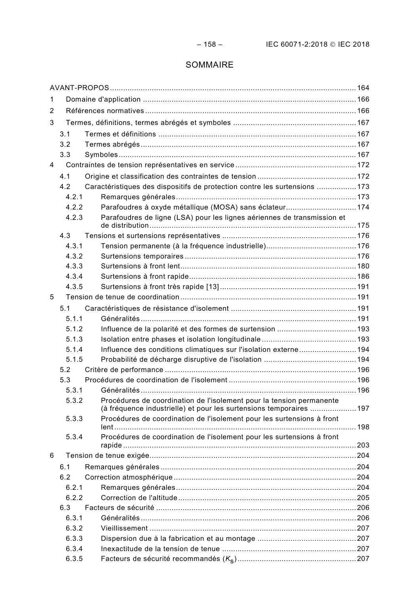# SOMMAIRE

| 1 |       |                                                                                                                                            |  |
|---|-------|--------------------------------------------------------------------------------------------------------------------------------------------|--|
| 2 |       |                                                                                                                                            |  |
| 3 |       |                                                                                                                                            |  |
|   | 3.1   |                                                                                                                                            |  |
|   | 3.2   |                                                                                                                                            |  |
|   | 3.3   |                                                                                                                                            |  |
| 4 |       |                                                                                                                                            |  |
|   | 4.1   |                                                                                                                                            |  |
|   | 4.2   | Caractéristiques des dispositifs de protection contre les surtensions  173                                                                 |  |
|   | 4.2.1 |                                                                                                                                            |  |
|   | 4.2.2 | Parafoudres à oxyde métallique (MOSA) sans éclateur 174                                                                                    |  |
|   | 4.2.3 | Parafoudres de ligne (LSA) pour les lignes aériennes de transmission et                                                                    |  |
|   | 4.3   |                                                                                                                                            |  |
|   | 4.3.1 |                                                                                                                                            |  |
|   | 4.3.2 |                                                                                                                                            |  |
|   | 4.3.3 |                                                                                                                                            |  |
|   | 4.3.4 |                                                                                                                                            |  |
|   | 4.3.5 |                                                                                                                                            |  |
| 5 |       |                                                                                                                                            |  |
|   | 5.1   |                                                                                                                                            |  |
|   | 5.1.1 |                                                                                                                                            |  |
|   | 5.1.2 |                                                                                                                                            |  |
|   | 5.1.3 |                                                                                                                                            |  |
|   | 5.1.4 | Influence des conditions climatiques sur l'isolation externe 194                                                                           |  |
|   | 5.1.5 |                                                                                                                                            |  |
|   | 5.2   |                                                                                                                                            |  |
|   | 5.3   |                                                                                                                                            |  |
|   | 5.3.1 |                                                                                                                                            |  |
|   | 5.3.2 | Procédures de coordination de l'isolement pour la tension permanente<br>(à fréquence industrielle) et pour les surtensions temporaires 197 |  |
|   | 5.3.3 | Procédures de coordination de l'isolement pour les surtensions à front                                                                     |  |
|   | 5.3.4 | Procédures de coordination de l'isolement pour les surtensions à front                                                                     |  |
| 6 |       |                                                                                                                                            |  |
|   | 6.1   |                                                                                                                                            |  |
|   | 6.2   |                                                                                                                                            |  |
|   | 6.2.1 |                                                                                                                                            |  |
|   | 6.2.2 |                                                                                                                                            |  |
|   | 6.3   |                                                                                                                                            |  |
|   | 6.3.1 |                                                                                                                                            |  |
|   | 6.3.2 |                                                                                                                                            |  |
|   | 6.3.3 |                                                                                                                                            |  |
|   | 6.3.4 |                                                                                                                                            |  |
|   | 6.3.5 |                                                                                                                                            |  |
|   |       |                                                                                                                                            |  |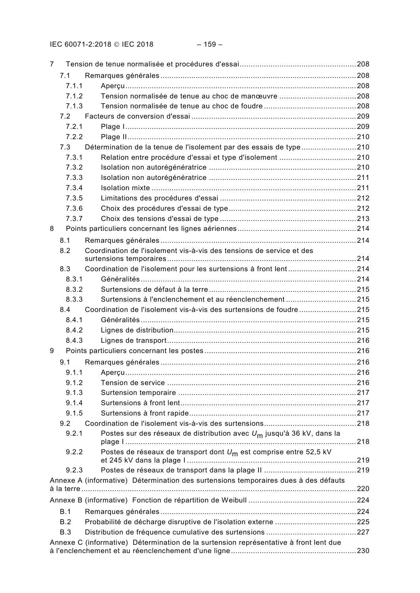| $\overline{7}$ |       |                                                                                       |  |
|----------------|-------|---------------------------------------------------------------------------------------|--|
|                | 7.1   |                                                                                       |  |
|                | 7.1.1 |                                                                                       |  |
|                | 7.1.2 |                                                                                       |  |
|                | 7.1.3 |                                                                                       |  |
|                | 7.2   |                                                                                       |  |
|                | 7.2.1 |                                                                                       |  |
|                | 7.2.2 |                                                                                       |  |
|                | 7.3   | Détermination de la tenue de l'isolement par des essais de type210                    |  |
|                | 7.3.1 |                                                                                       |  |
|                | 7.3.2 |                                                                                       |  |
|                | 7.3.3 |                                                                                       |  |
|                | 7.3.4 |                                                                                       |  |
|                | 7.3.5 |                                                                                       |  |
|                | 7.3.6 |                                                                                       |  |
|                | 7.3.7 |                                                                                       |  |
| 8              |       |                                                                                       |  |
|                | 8.1   |                                                                                       |  |
|                |       | Coordination de l'isolement vis-à-vis des tensions de service et des                  |  |
|                | 8.2   |                                                                                       |  |
|                | 8.3   | Coordination de l'isolement pour les surtensions à front lent214                      |  |
|                | 8.3.1 |                                                                                       |  |
|                | 8.3.2 |                                                                                       |  |
|                | 8.3.3 |                                                                                       |  |
|                | 8.4   | Coordination de l'isolement vis-à-vis des surtensions de foudre215                    |  |
|                | 8.4.1 |                                                                                       |  |
|                | 8.4.2 |                                                                                       |  |
|                | 8.4.3 |                                                                                       |  |
| 9              |       |                                                                                       |  |
|                |       |                                                                                       |  |
|                | 9.1   |                                                                                       |  |
|                | 9.1.1 |                                                                                       |  |
|                | 9.1.2 |                                                                                       |  |
|                | 9.1.3 |                                                                                       |  |
|                | 9.1.4 |                                                                                       |  |
|                | 9.1.5 |                                                                                       |  |
|                | 9.2   |                                                                                       |  |
|                | 9.2.1 | Postes sur des réseaux de distribution avec $U_m$ jusqu'à 36 kV, dans la              |  |
|                |       |                                                                                       |  |
|                | 9.2.2 | Postes de réseaux de transport dont U <sub>m</sub> est comprise entre 52,5 kV         |  |
|                | 9.2.3 |                                                                                       |  |
|                |       | Annexe A (informative) Détermination des surtensions temporaires dues à des défauts   |  |
|                |       |                                                                                       |  |
|                |       |                                                                                       |  |
|                | B.1   |                                                                                       |  |
|                | B.2   |                                                                                       |  |
|                | B.3   |                                                                                       |  |
|                |       | Annexe C (informative) Détermination de la surtension représentative à front lent due |  |
|                |       |                                                                                       |  |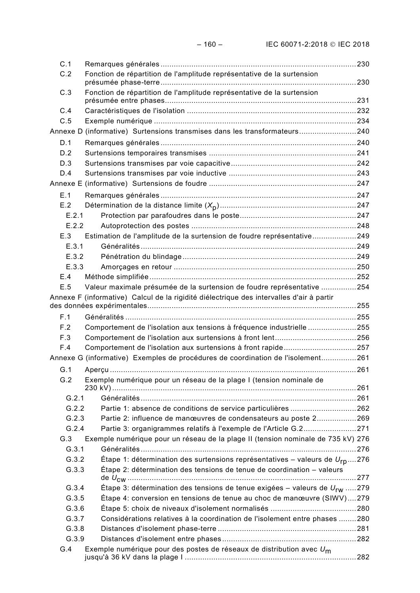| C.1   |                                                                                          |  |
|-------|------------------------------------------------------------------------------------------|--|
| C.2   | Fonction de répartition de l'amplitude représentative de la surtension                   |  |
| C.3   | Fonction de répartition de l'amplitude représentative de la surtension                   |  |
| C.4   |                                                                                          |  |
| C.5   |                                                                                          |  |
|       | Annexe D (informative) Surtensions transmises dans les transformateurs240                |  |
| D.1   |                                                                                          |  |
| D.2   |                                                                                          |  |
| D.3   |                                                                                          |  |
| D.4   |                                                                                          |  |
|       |                                                                                          |  |
| E.1   |                                                                                          |  |
| E.2   |                                                                                          |  |
| E.2.1 |                                                                                          |  |
| E.2.2 |                                                                                          |  |
| E.3   | Estimation de l'amplitude de la surtension de foudre représentative249                   |  |
| E.3.1 |                                                                                          |  |
| E.3.2 |                                                                                          |  |
| E.3.3 |                                                                                          |  |
| E.4   |                                                                                          |  |
| E.5   | Valeur maximale présumée de la surtension de foudre représentative 254                   |  |
|       | Annexe F (informative) Calcul de la rigidité diélectrique des intervalles d'air à partir |  |
|       |                                                                                          |  |
| F.1   |                                                                                          |  |
| F.2   | Comportement de l'isolation aux tensions à fréquence industrielle 255                    |  |
| F.3   |                                                                                          |  |
| F.4   | Comportement de l'isolation aux surtensions à front rapide257                            |  |
|       | Annexe G (informative) Exemples de procédures de coordination de l'isolement261          |  |
| G.1   |                                                                                          |  |
| G.2   | Exemple numérique pour un réseau de la plage I (tension nominale de                      |  |
| G.2.1 |                                                                                          |  |
| G.2.2 | Partie 1: absence de conditions de service particulières 262                             |  |
| G.2.3 | Partie 2: influence de manœuvres de condensateurs au poste 2269                          |  |
| G.2.4 | Partie 3: organigrammes relatifs à l'exemple de l'Article G.2271                         |  |
| G.3   | Exemple numérique pour un réseau de la plage II (tension nominale de 735 kV) 276         |  |
| G.3.1 |                                                                                          |  |
| G.3.2 | Étape 1: détermination des surtensions représentatives – valeurs de $U_{rp}$ 276         |  |
| G.3.3 | Étape 2: détermination des tensions de tenue de coordination – valeurs                   |  |
| G.3.4 | Étape 3: détermination des tensions de tenue exigées – valeurs de $U_{rw}$ 279           |  |
| G.3.5 | Étape 4: conversion en tensions de tenue au choc de manœuvre (SIWV)279                   |  |
| G.3.6 |                                                                                          |  |
| G.3.7 | Considérations relatives à la coordination de l'isolement entre phases 280               |  |
| G.3.8 |                                                                                          |  |
| G.3.9 |                                                                                          |  |
| G.4   | Exemple numérique pour des postes de réseaux de distribution avec $U_m$                  |  |
|       |                                                                                          |  |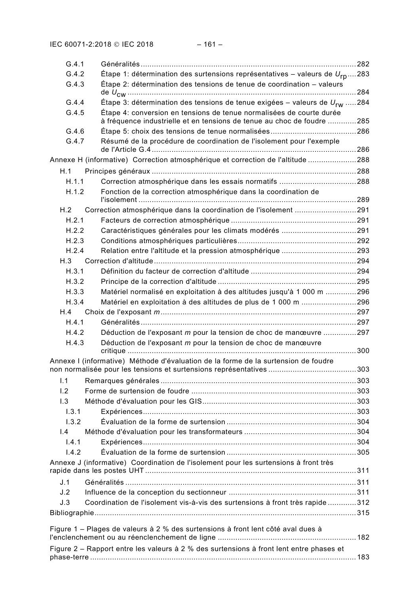| G.4.1                   |                                                                                                                                                              | 282 |
|-------------------------|--------------------------------------------------------------------------------------------------------------------------------------------------------------|-----|
| G.4.2                   | Étape 1: détermination des surtensions représentatives – valeurs de $U_{r_D}$ 283                                                                            |     |
| G.4.3                   | Étape 2: détermination des tensions de tenue de coordination – valeurs                                                                                       | 284 |
| G.4.4                   | Étape 3: détermination des tensions de tenue exigées – valeurs de $U_{rw}$ 284                                                                               |     |
| G.4.5                   | Étape 4: conversion en tensions de tenue normalisées de courte durée                                                                                         |     |
|                         | à fréquence industrielle et en tensions de tenue au choc de foudre 285                                                                                       |     |
| G.4.6                   |                                                                                                                                                              |     |
| G.4.7                   | Résumé de la procédure de coordination de l'isolement pour l'exemple                                                                                         |     |
|                         |                                                                                                                                                              |     |
|                         | Annexe H (informative) Correction atmosphérique et correction de l'altitude 288                                                                              |     |
| H.1                     |                                                                                                                                                              |     |
| H.1.1                   |                                                                                                                                                              |     |
| H.1.2                   | Fonction de la correction atmosphérique dans la coordination de                                                                                              |     |
| H.2                     | Correction atmosphérique dans la coordination de l'isolement 291                                                                                             |     |
| H.2.1                   |                                                                                                                                                              |     |
| H.2.2                   |                                                                                                                                                              |     |
| H.2.3                   |                                                                                                                                                              |     |
| H.2.4                   |                                                                                                                                                              |     |
| H.3                     |                                                                                                                                                              |     |
| H.3.1                   |                                                                                                                                                              |     |
| H.3.2                   |                                                                                                                                                              |     |
| H.3.3                   | Matériel normalisé en exploitation à des altitudes jusqu'à 1 000 m 296                                                                                       |     |
| H.3.4                   | Matériel en exploitation à des altitudes de plus de 1 000 m 296                                                                                              |     |
| H.4                     |                                                                                                                                                              |     |
| H.4.1                   |                                                                                                                                                              |     |
| H.4.2                   | Déduction de l'exposant m pour la tension de choc de manœuvre 297                                                                                            |     |
| H.4.3                   | Déduction de l'exposant m pour la tension de choc de manœuvre                                                                                                |     |
|                         | Annexe I (informative) Méthode d'évaluation de la forme de la surtension de foudre                                                                           |     |
|                         | non normalisée pour les tensions et surtensions représentatives …………………………………303                                                                             |     |
| 1.1                     |                                                                                                                                                              |     |
| 1.2                     |                                                                                                                                                              |     |
| 1.3                     |                                                                                                                                                              |     |
| 1.3.1                   |                                                                                                                                                              |     |
| 1.3.2                   |                                                                                                                                                              |     |
| $\mathsf{I}.\mathsf{4}$ |                                                                                                                                                              |     |
| 1.4.1                   |                                                                                                                                                              |     |
| 1.4.2                   |                                                                                                                                                              |     |
|                         | Annexe J (informative) Coordination de l'isolement pour les surtensions à front très<br>rapide dans les postes UHT…………………………………………………………………………………311         |     |
| J.1                     |                                                                                                                                                              |     |
| J.2                     |                                                                                                                                                              |     |
| J.3                     | Coordination de l'isolement vis-à-vis des surtensions à front très rapide 312                                                                                |     |
|                         |                                                                                                                                                              |     |
|                         |                                                                                                                                                              |     |
|                         | Figure 1 – Plages de valeurs à 2 % des surtensions à front lent côté aval dues à<br>l'enclenchement ou au réenclenchement de ligne …………………………………………………………182 |     |
|                         | Figure 2 – Rapport entre les valeurs à 2 % des surtensions à front lent entre phases et                                                                      |     |
|                         |                                                                                                                                                              |     |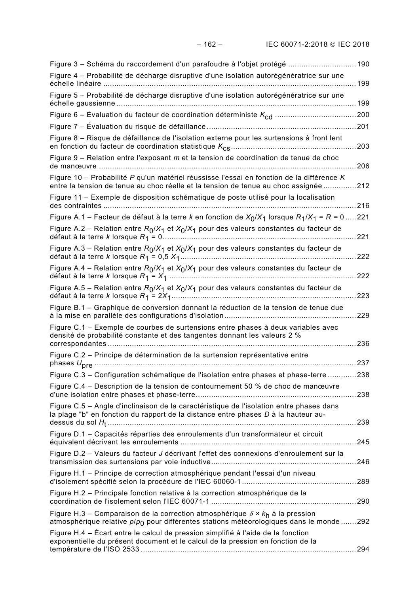| Figure 3 - Schéma du raccordement d'un parafoudre à l'objet protégé  190                                                                                                                |     |
|-----------------------------------------------------------------------------------------------------------------------------------------------------------------------------------------|-----|
| Figure 4 - Probabilité de décharge disruptive d'une isolation autorégénératrice sur une                                                                                                 | 199 |
| Figure 5 - Probabilité de décharge disruptive d'une isolation autorégénératrice sur une                                                                                                 | 199 |
|                                                                                                                                                                                         | 200 |
| Figure 7 – Évaluation du risque de défaillance …………………………………………………                                                                                                                      | 201 |
| Figure 8 - Risque de défaillance de l'isolation externe pour les surtensions à front lent                                                                                               | 203 |
| Figure 9 – Relation entre l'exposant m et la tension de coordination de tenue de choc<br>de manœuvre                                                                                    | 206 |
| Figure 10 – Probabilité P qu'un matériel réussisse l'essai en fonction de la différence K<br>entre la tension de tenue au choc réelle et la tension de tenue au choc assignée           | 212 |
| Figure 11 – Exemple de disposition schématique de poste utilisé pour la localisation                                                                                                    | 216 |
| Figure A.1 – Facteur de défaut à la terre k en fonction de $X_0/X_1$ lorsque $R_1/X_1 = R = 0$ 221                                                                                      |     |
| Figure A.2 - Relation entre $R_0/X_1$ et $X_0/X_1$ pour des valeurs constantes du facteur de                                                                                            | 221 |
| Figure A.3 – Relation entre $R_0/X_1$ et $X_0/X_1$ pour des valeurs constantes du facteur de                                                                                            | 222 |
| Figure A.4 – Relation entre $R_0/X_1$ et $X_0/X_1$ pour des valeurs constantes du facteur de                                                                                            | 222 |
| Figure A.5 – Relation entre $R_0/X_1$ et $X_0/X_1$ pour des valeurs constantes du facteur de                                                                                            | 223 |
| Figure B.1 – Graphique de conversion donnant la réduction de la tension de tenue due                                                                                                    | 229 |
| Figure C.1 – Exemple de courbes de surtensions entre phases à deux variables avec<br>densité de probabilité constante et des tangentes donnant les valeurs 2 %                          | 236 |
| Figure C.2 - Principe de détermination de la surtension représentative entre                                                                                                            | 237 |
| Figure C.3 - Configuration schématique de l'isolation entre phases et phase-terre 238                                                                                                   |     |
| Figure C.4 – Description de la tension de contournement 50 % de choc de manœuvre                                                                                                        |     |
| Figure C.5 - Angle d'inclinaison de la caractéristique de l'isolation entre phases dans<br>la plage "b" en fonction du rapport de la distance entre phases D à la hauteur au-           |     |
| Figure D.1 - Capacités réparties des enroulements d'un transformateur et circuit                                                                                                        |     |
| Figure D.2 - Valeurs du facteur J décrivant l'effet des connexions d'enroulement sur la                                                                                                 | 246 |
| Figure H.1 – Principe de correction atmosphérique pendant l'essai d'un niveau                                                                                                           |     |
| Figure H.2 – Principale fonction relative à la correction atmosphérique de la                                                                                                           | 290 |
| Figure H.3 – Comparaison de la correction atmosphérique $\delta \times k_h$ à la pression<br>atmosphérique relative $p/p_0$ pour différentes stations météorologiques dans le monde 292 |     |
| Figure H.4 – Écart entre le calcul de pression simplifié à l'aide de la fonction<br>exponentielle du présent document et le calcul de la pression en fonction de la                     |     |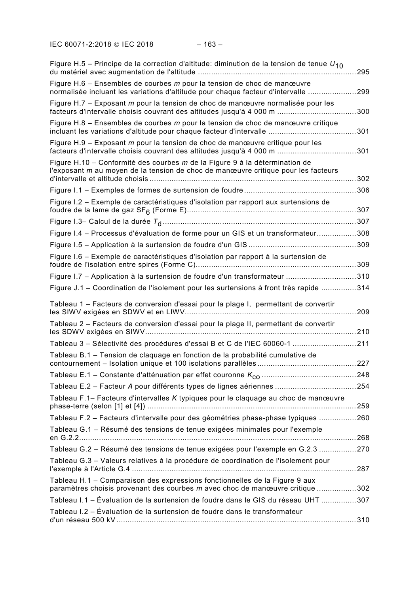| Figure H.5 – Principe de la correction d'altitude: diminution de la tension de tenue $U_{10}$                                                                     | 295  |
|-------------------------------------------------------------------------------------------------------------------------------------------------------------------|------|
| Figure H.6 - Ensembles de courbes m pour la tension de choc de manœuvre<br>normalisée incluant les variations d'altitude pour chaque facteur d'intervalle 299     |      |
| Figure H.7 - Exposant m pour la tension de choc de manœuvre normalisée pour les<br>facteurs d'intervalle choisis couvrant des altitudes jusqu'à 4 000 m           | 300  |
| Figure H.8 – Ensembles de courbes m pour la tension de choc de manœuvre critique                                                                                  | 301  |
| Figure H.9 - Exposant m pour la tension de choc de manœuvre critique pour les                                                                                     | 301  |
| Figure H.10 – Conformité des courbes m de la Figure 9 à la détermination de<br>l'exposant m au moyen de la tension de choc de manœuvre critique pour les facteurs | 302  |
|                                                                                                                                                                   |      |
| Figure I.2 - Exemple de caractéristiques d'isolation par rapport aux surtensions de                                                                               | 307  |
|                                                                                                                                                                   | 307  |
| Figure I.4 - Processus d'évaluation de forme pour un GIS et un transformateur308                                                                                  |      |
|                                                                                                                                                                   | .309 |
| Figure I.6 – Exemple de caractéristiques d'isolation par rapport à la surtension de                                                                               |      |
| Figure I.7 - Application à la surtension de foudre d'un transformateur 310                                                                                        |      |
| Figure J.1 - Coordination de l'isolement pour les surtensions à front très rapide                                                                                 | 314  |
| Tableau 1 - Facteurs de conversion d'essai pour la plage I, permettant de convertir                                                                               | 209  |
| Tableau 2 – Facteurs de conversion d'essai pour la plage II, permettant de convertir                                                                              | .210 |
| Tableau 3 - Sélectivité des procédures d'essai B et C de l'IEC 60060-1  211                                                                                       |      |
| Tableau B.1 – Tension de claquage en fonction de la probabilité cumulative de                                                                                     | 227  |
|                                                                                                                                                                   |      |
|                                                                                                                                                                   |      |
| Tableau F.1– Facteurs d'intervalles K typiques pour le claquage au choc de manœuvre                                                                               |      |
| Tableau F.2 - Facteurs d'intervalle pour des géométries phase-phase typiques 260                                                                                  |      |
| Tableau G.1 - Résumé des tensions de tenue exigées minimales pour l'exemple                                                                                       |      |
| Tableau G.2 – Résumé des tensions de tenue exigées pour l'exemple en G.2.3 270                                                                                    |      |
| Tableau G.3 - Valeurs relatives à la procédure de coordination de l'isolement pour                                                                                |      |
| Tableau H.1 - Comparaison des expressions fonctionnelles de la Figure 9 aux<br>paramètres choisis provenant des courbes m avec choc de manœuvre critique 302      |      |
| Tableau I.1 - Évaluation de la surtension de foudre dans le GIS du réseau UHT 307                                                                                 |      |
| Tableau I.2 – Évaluation de la surtension de foudre dans le transformateur                                                                                        |      |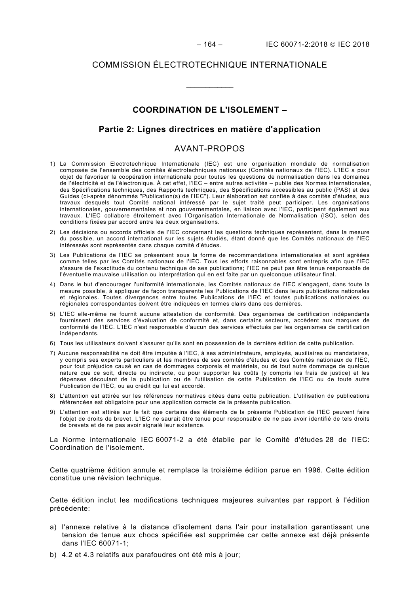# COMMISSION ÉLECTROTECHNIQUE INTERNATIONALE

\_\_\_\_\_\_\_\_\_\_\_\_

# **COORDINATION DE L'ISOLEMENT –**

## **Partie 2: Lignes directrices en matière d'application**

### AVANT-PROPOS

- <span id="page-17-0"></span>1) La Commission Electrotechnique Internationale (IEC) est une organisation mondiale de normalisation composée de l'ensemble des comités électrotechniques nationaux (Comités nationaux de l'IEC). L'IEC a pour objet de favoriser la coopération internationale pour toutes les questions de normalisation dans les domaines de l'électricité et de l'électronique. À cet effet, l'IEC – entre autres activités – publie des Normes internationales, des Spécifications techniques, des Rapports techniques, des Spécifications accessibles au public (PAS) et des Guides (ci-après dénommés "Publication(s) de l'IEC"). Leur élaboration est confiée à des comités d'études, aux travaux desquels tout Comité national intéressé par le sujet traité peut participer. Les organisations internationales, gouvernementales et non gouvernementales, en liaison avec l'IEC, participent également aux travaux. L'IEC collabore étroitement avec l'Organisation Internationale de Normalisation (ISO), selon des conditions fixées par accord entre les deux organisations.
- 2) Les décisions ou accords officiels de l'IEC concernant les questions techniques représentent, dans la mesure du possible, un accord international sur les sujets étudiés, étant donné que les Comités nationaux de l'IEC intéressés sont représentés dans chaque comité d'études.
- 3) Les Publications de l'IEC se présentent sous la forme de recommandations internationales et sont agréées comme telles par les Comités nationaux de l'IEC. Tous les efforts raisonnables sont entrepris afin que l'IEC s'assure de l'exactitude du contenu technique de ses publications; l'IEC ne peut pas être tenue responsable de l'éventuelle mauvaise utilisation ou interprétation qui en est faite par un quelconque utilisateur final.
- 4) Dans le but d'encourager l'uniformité internationale, les Comités nationaux de l'IEC s'engagent, dans toute la mesure possible, à appliquer de façon transparente les Publications de l'IEC dans leurs publications nationales et régionales. Toutes divergences entre toutes Publications de l'IEC et toutes publications nationales ou régionales correspondantes doivent être indiquées en termes clairs dans ces dernières.
- 5) L'IEC elle-même ne fournit aucune attestation de conformité. Des organismes de certification indépendants fournissent des services d'évaluation de conformité et, dans certains secteurs, accèdent aux marques de conformité de l'IEC. L'IEC n'est responsable d'aucun des services effectués par les organismes de certification indépendants.
- 6) Tous les utilisateurs doivent s'assurer qu'ils sont en possession de la dernière édition de cette publication.
- 7) Aucune responsabilité ne doit être imputée à l'IEC, à ses administrateurs, employés, auxiliaires ou mandataires, y compris ses experts particuliers et les membres de ses comités d'études et des Comités nationaux de l'IEC, pour tout préjudice causé en cas de dommages corporels et matériels, ou de tout autre dommage de quelque nature que ce soit, directe ou indirecte, ou pour supporter les coûts (y compris les frais de justice) et les dépenses découlant de la publication ou de l'utilisation de cette Publication de l'IEC ou de toute autre Publication de l'IEC, ou au crédit qui lui est accordé.
- 8) L'attention est attirée sur les références normatives citées dans cette publication. L'utilisation de publications référencées est obligatoire pour une application correcte de la présente publication.
- 9) L'attention est attirée sur le fait que certains des éléments de la présente Publication de l'IEC peuvent faire l'objet de droits de brevet. L'IEC ne saurait être tenue pour responsable de ne pas avoir identifié de tels droits de brevets et de ne pas avoir signalé leur existence.

La Norme internationale IEC 60071-2 a été établie par le Comité d'études 28 de l'IEC: Coordination de l'isolement.

Cette quatrième édition annule et remplace la troisième édition parue en 1996. Cette édition constitue une révision technique.

Cette édition inclut les modifications techniques majeures suivantes par rapport à l'édition précédente:

- a) l'annexe relative à la distance d'isolement dans l'air pour installation garantissant une tension de tenue aux chocs spécifiée est supprimée car cette annexe est déjà présente dans l'IEC 60071-1;
- b) 4.2 et 4.3 relatifs aux parafoudres ont été mis à jour;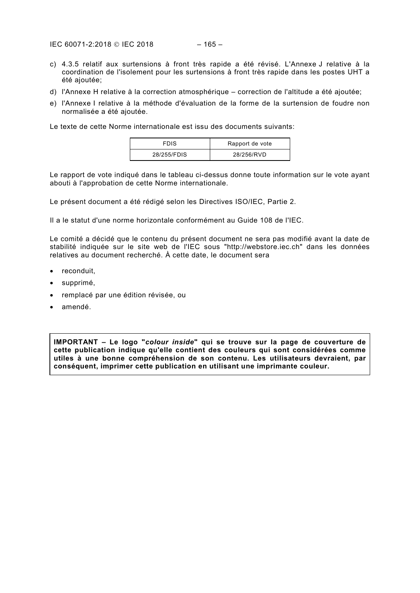- c) 4.3.5 relatif aux surtensions à front très rapide a été révisé. L'Annexe J relative à la coordination de l'isolement pour les surtensions à front très rapide dans les postes UHT a été ajoutée;
- d) l'Annexe H relative à la correction atmosphérique correction de l'altitude a été ajoutée;
- e) l'Annexe I relative à la méthode d'évaluation de la forme de la surtension de foudre non normalisée a été ajoutée.

Le texte de cette Norme internationale est issu des documents suivants:

| <b>FDIS</b> | Rapport de vote |
|-------------|-----------------|
| 28/255/FDIS | 28/256/RVD      |

Le rapport de vote indiqué dans le tableau ci-dessus donne toute information sur le vote ayant abouti à l'approbation de cette Norme internationale.

Le présent document a été rédigé selon les Directives ISO/IEC, Partie 2.

Il a le statut d'une norme horizontale conformément au Guide 108 de l'IEC.

Le comité a décidé que le contenu du présent document ne sera pas modifié avant la date de stabilité indiquée sur le site web de l'IEC sous "http://webstore.iec.ch" dans les données relatives au document recherché. À cette date, le document sera

- reconduit,
- supprimé,
- remplacé par une édition révisée, ou
- amendé.

**IMPORTANT – Le logo "***colour inside***" qui se trouve sur la page de couverture de cette publication indique qu'elle contient des couleurs qui sont considérées comme utiles à une bonne compréhension de son contenu. Les utilisateurs devraient, par conséquent, imprimer cette publication en utilisant une imprimante couleur.**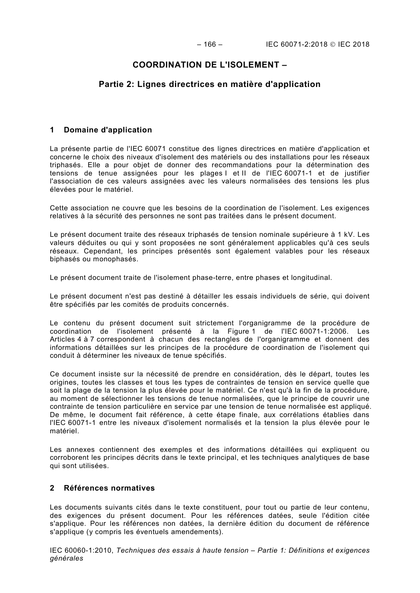# **COORDINATION DE L'ISOLEMENT –**

# **Partie 2: Lignes directrices en matière d'application**

## <span id="page-19-0"></span>**1 Domaine d'application**

La présente partie de l'IEC 60071 constitue des lignes directrices en matière d'application et concerne le choix des niveaux d'isolement des matériels ou des installations pour les réseaux triphasés. Elle a pour objet de donner des recommandations pour la détermination des tensions de tenue assignées pour les plages I et II de l'IEC 60071-1 et de justifier l'association de ces valeurs assignées avec les valeurs normalisées des tensions les plus élevées pour le matériel.

Cette association ne couvre que les besoins de la coordination de l'isolement. Les exigences relatives à la sécurité des personnes ne sont pas traitées dans le présent document.

Le présent document traite des réseaux triphasés de tension nominale supérieure à 1 kV. Les valeurs déduites ou qui y sont proposées ne sont généralement applicables qu'à ces seuls réseaux. Cependant, les principes présentés sont également valables pour les réseaux biphasés ou monophasés.

Le présent document traite de l'isolement phase-terre, entre phases et longitudinal.

Le présent document n'est pas destiné à détailler les essais individuels de série, qui doivent être spécifiés par les comités de produits concernés.

Le contenu du présent document suit strictement l'organigramme de la procédure de coordination de l'isolement présenté à la Figure 1 de l'IEC 60071-1:2006. Les Articles 4 à 7 correspondent à chacun des rectangles de l'organigramme et donnent des informations détaillées sur les principes de la procédure de coordination de l'isolement qui conduit à déterminer les niveaux de tenue spécifiés.

Ce document insiste sur la nécessité de prendre en considération, dès le départ, toutes les origines, toutes les classes et tous les types de contraintes de tension en service quelle que soit la plage de la tension la plus élevée pour le matériel. Ce n'est qu'à la fin de la procédure, au moment de sélectionner les tensions de tenue normalisées, que le principe de couvrir une contrainte de tension particulière en service par une tension de tenue normalisée est appliqué. De même, le document fait référence, à cette étape finale, aux corrélations établies dans l'IEC 60071-1 entre les niveaux d'isolement normalisés et la tension la plus élevée pour le matériel.

Les annexes contiennent des exemples et des informations détaillées qui expliquent ou corroborent les principes décrits dans le texte principal, et les techniques analytiques de base qui sont utilisées.

#### <span id="page-19-1"></span>**2 Références normatives**

Les documents suivants cités dans le texte constituent, pour tout ou partie de leur contenu, des exigences du présent document. Pour les références datées, seule l'édition citée s'applique. Pour les références non datées, la dernière édition du document de référence s'applique (y compris les éventuels amendements).

IEC 60060-1:2010, *Techniques des essais à haute tension – Partie 1: Définitions et exigences générales*